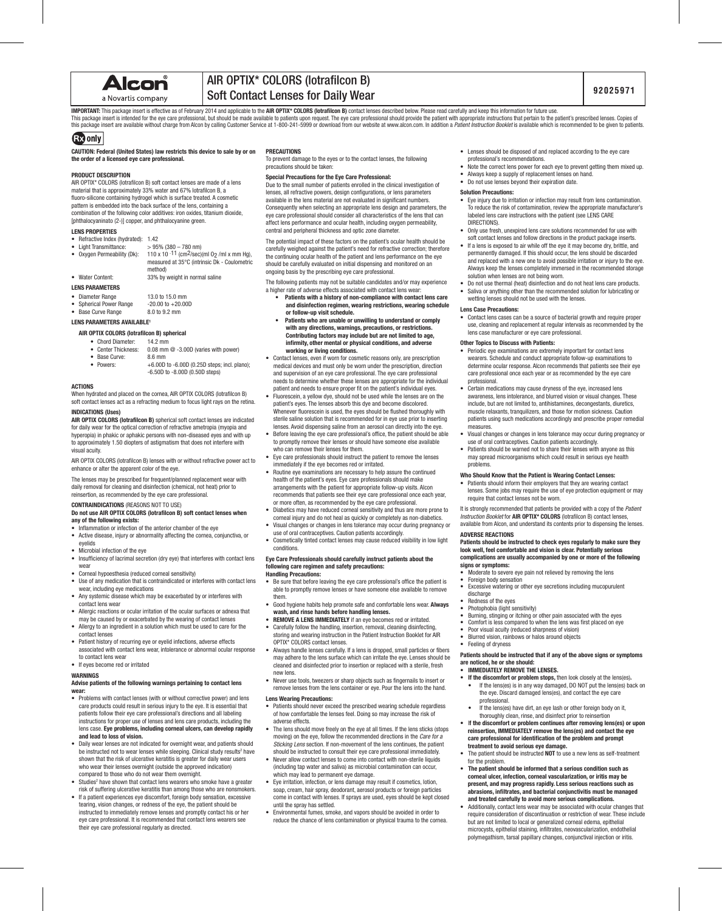Alcon

# a Novartis company

# AIR OPTIX\* COLORS (lotrafilcon B) Soft Contact Lenses for Daily Wear

**IMPORTANT:** This package insert is effective as of February 2014 and applicable to the AIR OPTIX\* COLORS (lotrafilcon B) contact lenses described below. Please read carefully and keep this information for future use. This package insert is intended for the eye care professional, but should be made available to patients upon request. The eye care professional should provide the patient with appropriate instructions that pertain to the p

# **GEO** only

**CAUTION: Federal (United States) law restricts this device to sale by or on the order of a licensed eye care professional.**

#### **PRODUCT DESCRIPTION**

AIR OPTIX\* COLORS (lotrafilcon B) soft contact lenses are made of a lens material that is approximately 33% water and 67% lotrafilcon B, a fluoro-silicone containing hydrogel which is surface treated. A cosmetic pattern is embedded into the back surface of the lens, containing a combination of the following color additives: iron oxides, titanium dioxide, [phthalocyaninato (2-)] copper, and phthalocyanine green.

# **LENS PROPERTIES**

Refractive Index (hydrated): 1.42

- Light Transmittance:  $> 95\%$  (380 780 nm)<br>Oxygen Permeability (Dk):  $110 \times 10^{-11}$  (cm<sup>2</sup>/sec)  $110 \times 10^{-11}$  (cm<sup>2</sup>/sec)(ml 02 /ml x mm Hg), measured at 35°C (intrinsic Dk - Coulometric
- method)<br>Mater Content: 33% by 33% by weight in normal saline

#### **LENS PARAMETERS**

- Diameter Range 13.0 to 15.0 mm<br>Spherical Power Range -20.00 to +20.00D
- Spherical Power Range -20.00 to +20.<br>Base Curve Range 8.0 to 9.2 mm
- Base Curve Range
- **LENS PARAMETERS AVAILABLE1**

# **AIR OPTIX COLORS (lotrafilcon B) spherical**

- Chord Diameter: 14.2 mm
	- Center Thickness: 0.08 mm @ -3.00D (varies with power)
- Base Curve:<br>• Powers:
	- $+6.00D$  to  $-6.00D$  (0.25D steps; incl. plano); -6.50D to -8.00D (0.50D steps)

#### **ACTIONS**

When hydrated and placed on the cornea, AIR OPTIX COLORS (lotrafilcon B) soft contact lenses act as a refracting medium to focus light rays on the retina.

**INDICATIONS (Uses) AIR OPTIX COLORS (lotrafilcon B)** spherical soft contact lenses are indicated for daily wear for the optical correction of refractive ametropia (myopia and hyperopia) in phakic or aphakic persons with non-diseased eyes and with up

to approximately 1.50 diopters of astigmatism that does not interfere with visual acuity.

AIR OPTIX COLORS (lotrafilcon B) lenses with or without refractive power act to enhance or alter the apparent color of the eye.

The lenses may be prescribed for frequent/planned replacement wear with daily removal for cleaning and disinfection (chemical, not heat) prior to reinsertion, as recommended by the eye care professional.

**CONTRAINDICATIONS** (REASONS NOT TO USE)

#### **Do not use AIR OPTIX COLORS (lotrafilcon B) soft contact lenses when any of the following exists:**

- Inflammation or infection of the anterior chamber of the eye
- Active disease, injury or abnormality affecting the cornea, conjunctiva, or eyelids
- Microbial infection of the eye
- Insufficiency of lacrimal secretion (dry eye) that interferes with contact lens wear
- Corneal hypoesthesia (reduced corneal sensitivity) Use of any medication that is contraindicated or interferes with contact lens
- wear, including eye medications
- Any systemic disease which may be exacerbated by or interferes with contact lens wear
- Allergic reactions or ocular irritation of the ocular surfaces or adnexa that may be caused by or exacerbated by the wearing of contact lenses
- Allergy to an ingredient in a solution which must be used to care for the contact lenses
- Patient history of recurring eye or eyelid infections, adverse effects associated with contact lens wear, intolerance or abnormal ocular response to contact lens wear

#### • If eyes become red or irritated

#### **WARNINGS**

#### **Advise patients of the following warnings pertaining to contact lens wear:**

- Problems with contact lenses (with or without corrective power) and lens care products could result in serious injury to the eye. It is essential that patients follow their eye care professional's directions and all labeling paisons for them store use of lenses and lens care products, including the instructions for proper use of lenses and lens care products, including the lens case. **Eye problems, including corneal ulcers, can develop rapidly and lead to loss of vision.**
- Daily wear lenses are not indicated for overnight wear, and patients should be instructed not to wear lenses while sleeping. Clinical study results<sup>2</sup> have shown that the risk of ulcerative keratitis is greater for daily wear users who wear their lenses overnight (outside the approved indication) compared to those who do not wear them overnight.
- Studies<sup>2</sup> have shown that contact lens wearers who smoke have a greater risk of suffering ulcerative keratitis than among those who are nonsmokers.
- If a patient experiences eye discomfort, foreign body sensation, excessive tearing, vision changes, or redness of the eye, the patient should be instructed to immediately remove lenses and promptly contact his or her eye care professional. It is recommended that contact lens wearers see their eye care professional regularly as directed.

#### **PRECAUTIONS**

To prevent damage to the eyes or to the contact lenses, the following precautions should be taken:

#### **Special Precautions for the Eye Care Professional:**

Due to the small number of patients enrolled in the clinical investigation of lenses, all refractive powers, design configurations, or lens parameters available in the lens material are not evaluated in significant numbers. Consequently when selecting an appropriate lens design and parameters, the eye care professional should consider all characteristics of the lens that can affect lens performance and ocular health, including oxygen permeability, central and peripheral thickness and optic zone diameter.

The potential impact of these factors on the patient's ocular health should be carefully weighed against the patient's need for refractive correction; therefore the continuing ocular health of the patient and lens performance on the eye should be carefully evaluated on initial dispensing and monitored on an ongoing basis by the prescribing eye care professional.

The following patients may not be suitable candidates and/or may experience a higher rate of adverse effects associated with contact lens wear:

- **Patients with a history of non-compliance with contact lens care and disinfection regimen, wearing restrictions, wearing schedule or follow-up visit schedule.**
- **Patients who are unable or unwilling to understand or comply with any directions, warnings, precautions, or restrictions. Contributing factors may include but are not limited to age, infirmity, other mental or physical conditions, and adverse working or living conditions.**
- Contact lenses, even if worn for cosmetic reasons only, are prescription medical devices and must only be worn under the prescription, direction and supervision of an eye care professional. The eye care professional needs to determine whether these lenses are appropriate for the individual patient and needs to ensure proper fit on the patient's individual eyes.
- Fluorescein, a yellow dye, should not be used while the lenses are on the patient's eyes. The lenses absorb this dye and become discolored. Whenever fluorescein is used, the eyes should be flushed thoroughly with sterile saline solution that is recommended for in eye use prior to inserting lenses. Avoid dispensing saline from an aerosol can directly into the eye.
- Before leaving the eye care professional's office, the patient should be able to promptly remove their lenses or should have someone else available who can remove their lenses for them
- Eye care professionals should instruct the patient to remove the lenses immediately if the eye becomes red or irritated.
- Routine eye examinations are necessary to help assure the continued health of the patient's eyes. Eye care professionals should make arrangements with the patient for appropriate follow-up visits. Alcon recommends that patients see their eye care professional once each year, or more often, as recommended by the eye care professional.
- Diabetics may have reduced corneal sensitivity and thus are more prone to corneal injury and do not heal as quickly or completely as non-diabetics.
- Visual changes or changes in lens tolerance may occur during pregnancy or use of oral contraceptives. Caution patients accordingly.
- Cosmetically tinted contact lenses may cause reduced visibility in low light conditions.

#### **Eye Care Professionals should carefully instruct patients about the following care regimen and safety precautions: Handling Precautions:**

- Be sure that before leaving the eye care professional's office the patient is able to promptly remove lenses or have someone else available to remove them.
- Good hygiene habits help promote safe and comfortable lens wear. **Always wash, and rinse hands before handling lenses.** • **REMOVE A LENS IMMEDIATELY** if an eye becomes red or irritated.
- Carefully follow the handling, insertion, removal, cleaning disinfecting,
- storing and wearing instruction in the Patient Instruction Booklet for AIR OPTIX\* COLORS contact lenses.
- Always handle lenses carefully. If a lens is dropped, small particles or fibers may adhere to the lens surface which can irritate the eye. Lenses should be cleaned and disinfected prior to insertion or replaced with a sterile, fresh new lens.
- Never use tools, tweezers or sharp objects such as fingernails to insert or remove lenses from the lens container or eye. Pour the lens into the hand.

# **Lens Wearing Precautions:**

- Patients should never exceed the prescribed wearing schedule regardless of how comfortable the lenses feel. Doing so may increase the risk of adverse effects.
- The lens should move freely on the eye at all times. If the lens sticks (stops moving) on the eye, follow the recommended directions in the *Care for a Sticking Lens* section. If non-movement of the lens continues, the patient should be instructed to consult their eye care professional immediately.
- Never allow contact lenses to come into contact with non-sterile liquids (including tap water and saliva) as microbial contamination can occur, which may lead to permanent eye damage.
- Eye irritation, infection, or lens damage may result if cosmetics, lotion, soap, cream, hair spray, deodorant, aerosol products or foreign particles come in contact with lenses. If sprays are used, eyes should be kept closed until the spray has settled.
- Environmental fumes, smoke, and vapors should be avoided in order to reduce the chance of lens contamination or physical trauma to the cornea.
- Lenses should be disposed of and replaced according to the eye care professional's recommendations.
	- Note the correct lens power for each eye to prevent getting them mixed up.
	- Always keep a supply of replacement lenses on hand. • Do not use lenses beyond their expiration date.

# **Solution Precautions:**

- Eye injury due to irritation or infection may result from lens contamination. To reduce the risk of contamination, review the appropriate manufacturer's labeled lens care instructions with the patient (see LENS CARE DIRECTIONS).
- Only use fresh, unexpired lens care solutions recommended for use with soft contact lenses and follow directions in the product package inserts.
- If a lens is exposed to air while off the eye it may become dry, brittle, and permanently damaged. If this should occur, the lens should be discarded and replaced with a new one to avoid possible irritation or injury to the eye. Always keep the lenses completely immersed in the recommended storage solution when lenses are not being worn.
- Do not use thermal (heat) disinfection and do not heat lens care products. • Saliva or anything other than the recommended solution for lubricating or
- wetting lenses should not be used with the lenses.

# **Lens Case Precautions:**

• Contact lens cases can be a source of bacterial growth and require proper use, cleaning and replacement at regular intervals as recommended by the lens case manufacturer or eye care professional.

# **Other Topics to Discuss with Patients:**

- Periodic eye examinations are extremely important for contact lens wearers. Schedule and conduct appropriate follow-up examinations to determine ocular response. Alcon recommends that patients see their eye care professional once each year or as recommended by the eye care professional.
- Certain medications may cause dryness of the eye, increased lens awareness, lens intolerance, and blurred vision or visual changes. These include, but are not limited to, antihistamines, decongestants, diuretics, muscle relaxants, tranquilizers, and those for motion sickness. Caution patients using such medications accordingly and prescribe proper remedial measures.
- Visual changes or changes in lens tolerance may occur during pregnancy or use of oral contraceptives. Caution patients accordingly.
- Patients should be warned not to share their lenses with anyone as this may spread microorganisms which could result in serious eye health problems.

## **Who Should Know that the Patient is Wearing Contact Lenses:**

Patients should inform their employers that they are wearing contact lenses. Some jobs may require the use of eye protection equipment or may require that contact lenses not be worn.

It is strongly recommended that patients be provided with a copy of the *Patient Instruction Booklet* for **AIR OPTIX\* COLORS** (lotrafilcon B) contact lenses, available from Alcon, and understand its contents prior to dispensing the lenses.

#### **ADVERSE REACTIONS**

discharge Redness of the eyes • Photophobia (light sensitivity)

• Feeling of dryness

**are noticed, he or she should: • IMMEDIATELY REMOVE THE LENSES.**

professional.

for the problem.

**Patients should be instructed to check eyes regularly to make sure they look well, feel comfortable and vision is clear. Potentially serious complications are usually accompanied by one or more of the following signs or symptoms:**

• Moderate to severe eye pain not relieved by removing the lens • Foreign body sensation • Excessive watering or other eye secretions including mucopurulent

Burning, stinging or itching or other pain associated with the eyes • Comfort is less compared to when the lens was first placed on eye

**Patients should be instructed that if any of the above signs or symptoms** 

**• If the discomfort or problem stops,** then look closely at the lens(es)**.** • If the lens(es) is in any way damaged, DO NOT put the lens(es) back on the eye. Discard damaged lens(es), and contact the eye care

If the lens(es) have dirt, an eve lash or other foreign body on it. thoroughly clean, rinse, and disinfect prior to reinsertion • I**f the discomfort or problem continues after removing lens(es) or upon reinsertion, IMMEDIATELY remove the lens(es) and contact the eye care professional for identification of the problem and prompt** 

• The patient should be instructed **NOT** to use a new lens as self-treatment

• **The patient should be informed that a serious condition such as corneal ulcer, infection, corneal vascularization, or iritis may be present, and may progress rapidly. Less serious reactions such as abrasions, infiltrates, and bacterial conjunctivitis must be managed and treated carefully to avoid more serious complications.** • Additionally, contact lens wear may be associated with ocular changes that require consideration of discontinuation or restriction of wear. These include but are not limited to local or generalized corneal edema, epithelial microcysts, epithelial staining, infiltrates, neovascularization, endothelial polymegathism, tarsal papillary changes, conjunctival injection or iritis.

• Poor visual acuity (reduced sharpness of vision) • Blurred vision, rainbows or halos around objects

**treatment to avoid serious eye damage.**